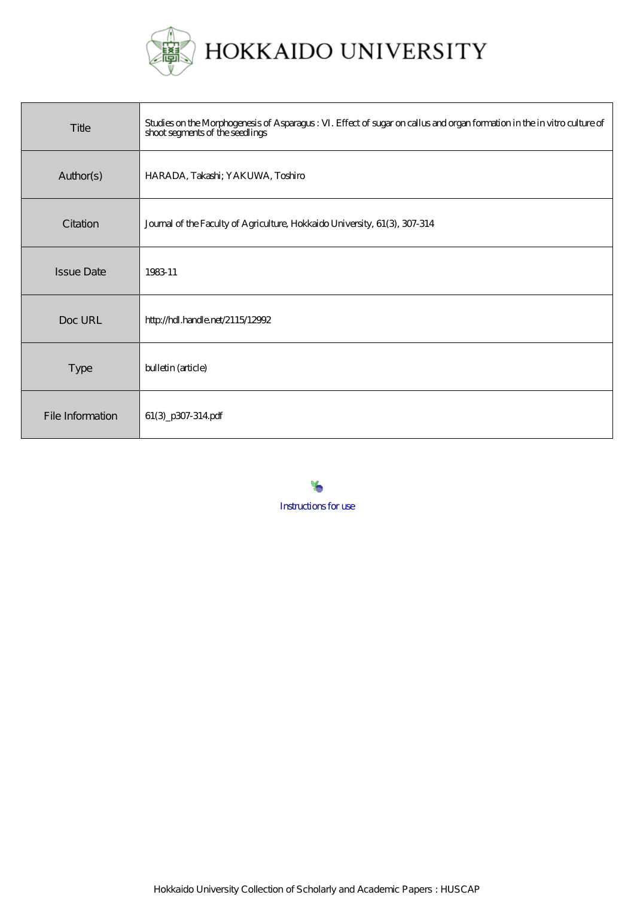

| Title             | . Effect of sugar on callus and organ formation in the invitro culture of<br>Studies on the Morphogenesis of Asparagus :<br>shoot segments of the seedlings |
|-------------------|-------------------------------------------------------------------------------------------------------------------------------------------------------------|
| Author(s)         | HARADA, Takashi; YAKUWA, Toshiro                                                                                                                            |
| Citation          | Journal of the Faculty of Agriculture, Hokkaido University, 61(3), 307-314                                                                                  |
| <b>Issue Date</b> | 198311                                                                                                                                                      |
| Doc URL           | http://hdl.handle.net/2115/12992                                                                                                                            |
| <b>Type</b>       | bulletin (article)                                                                                                                                          |
| File Information  | 61(3_p307-314pdf                                                                                                                                            |

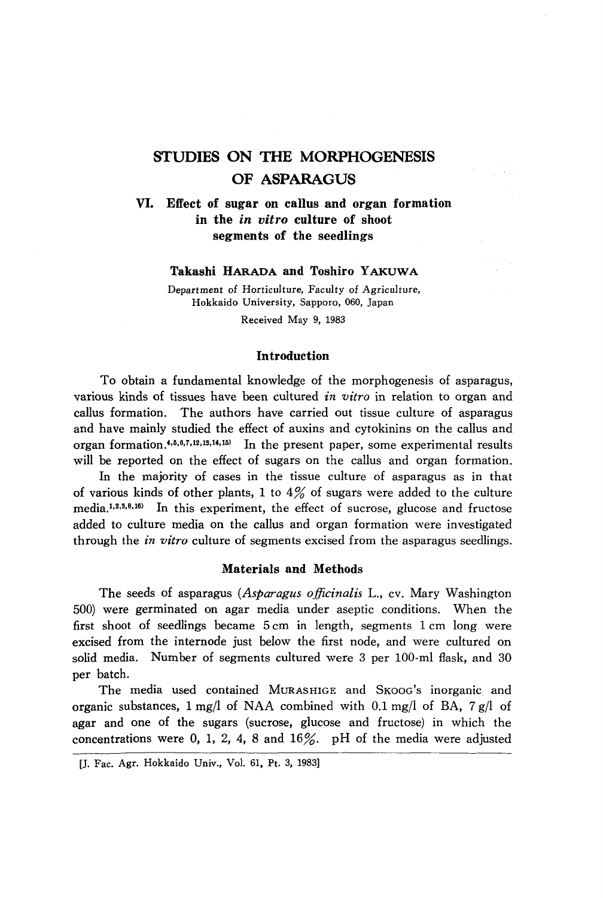# **STUDIES ON THE MORPHOGENESIS OF ASPARAGUS**

**VI. Effect of sugar on callus and organ formation in the** *in vitro* **culture of shoot segments of the seedlings** 

# **Takashi HARADA and Toshiro Y AKUWA**

Department of Horticulture, Faculty of Agriculture, Hokkaido University, Sapporo, 060, Japan Received May 9, 1983

## **In troduction**

To obtain a fundamental knowledge of the morphogenesis of asparagus, various kinds of tissues have been cultured *in vitro* in relation to organ and callus formation. The authors have carried out tissue culture of asparagus and have mainly studied the effect of auxins and cytokinins on the callus and organ formation. $4,6,6,7,12,13,14,15$  In the present paper, some experimental results will be reported on the effect of sugars on the callus and organ formation.

In the majority of cases in the tissue culture of asparagus as in that of various kinds of other plants, 1 to  $4\%$  of sugars were added to the culture media.1,2,s,8,16) In this experiment, the effect of sucrose, glucose and fructose added to culture media on the callus and organ formation were investigated through the *in vitro* culture of segments excised from the asparagus seedlings.

## **Materials and Methods**

The seeds of asparagus *(Asparagus officinalis* L., cv. Mary Washington 500) were germinated on agar media under aseptic conditions. When the first shoot of seedlings became 5 cm in length, segments 1 cm long were excised from the internode just below the first node, and were cultured on solid media. Number of segments cultured were 3 per 100-ml flask, and 30 per batch.

The media used contained MURASHIGE and SKOOG'S inorganic and organic substances, 1 *mgll* of NAA combined with 0.1 *mgll* of BA, 7 *gil* of agar and one of the sugars (sucrose, glucose and fructose) in which the concentrations were 0, 1, 2, 4, 8 and  $16\%$ . pH of the media were adjusted

<sup>[</sup>J. Fac. Agr. Hokkaido Univ., Vol. 61, Pt. 3, 1983]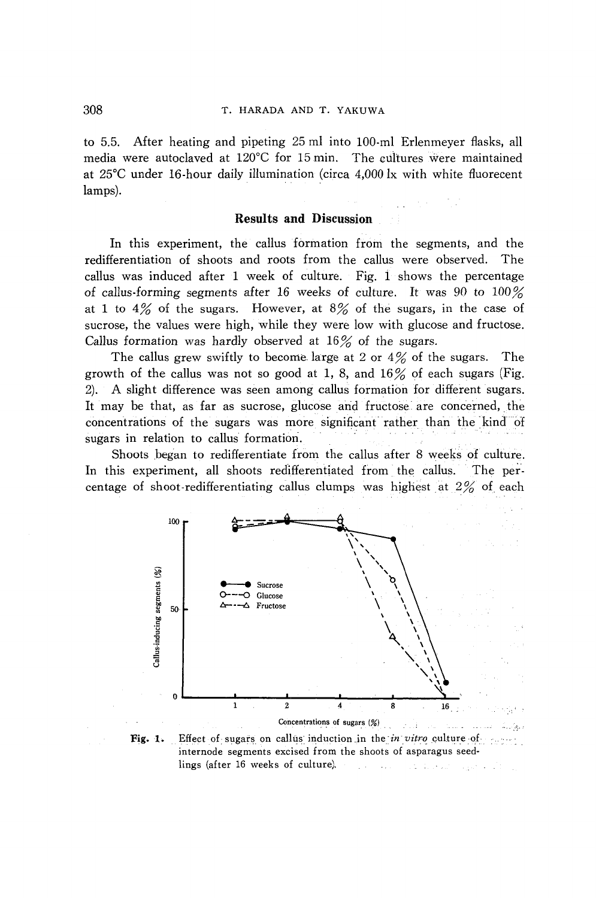to 5.5. After heating and pipeting 25 ml into 100-ml Erlenmeyer flasks, all media were autoclaved at 120°C for 15 min. The cultures were maintained at 25°C under 16-hour daily illumination (circa 4,000 Ix with white fluorecent lamps).

## **Results and Discussion**

In this experiment, the callus formation from the segments, and the redifferentiation of shoots and roots from the callus were observed. The callus was induced after  $1$  week of culture. Fig.  $1$  shows the percentage of callus-forming segments after 16 weeks of culture. It was 90 to  $100\%$ at 1 to  $4\%$  of the sugars. However, at  $8\%$  of the sugars, in the case of sucrose, the values were high, while they were low with glucose and fructose. Callus formation was hardly observed at  $16\%$  of the sugars.

The callus grew swiftly to become large at 2 or  $4\%$  of the sugars. The growth of the callus was not so good at 1, 8, and  $16\%$  of each sugars (Fig. 2). A slight difference was seen among callus formation for different sugars. It may be that, as far as sucrose, glucose and fructose are concerned, the concentrations of the sugars was more significant rather than the kind of sugars in relation to callus formation.

Shoots began to redifferentiate from the callus after 8 weeks of culture. In this experiment, all shoots redifferentiated from the callus. The percentage of shoot-redifferentiating callus clumps was highest at 2% of each



Fig. 1. Effect of sugars on callus induction in the in vitro culture of second internode segments excised from the shoots of asparagus seedlings (after 16 weeks of culture),  $\mathcal{L}_{\mathrm{L}}$  is a simple  $\sim 1.2$  . In results on present with  $\sim 10$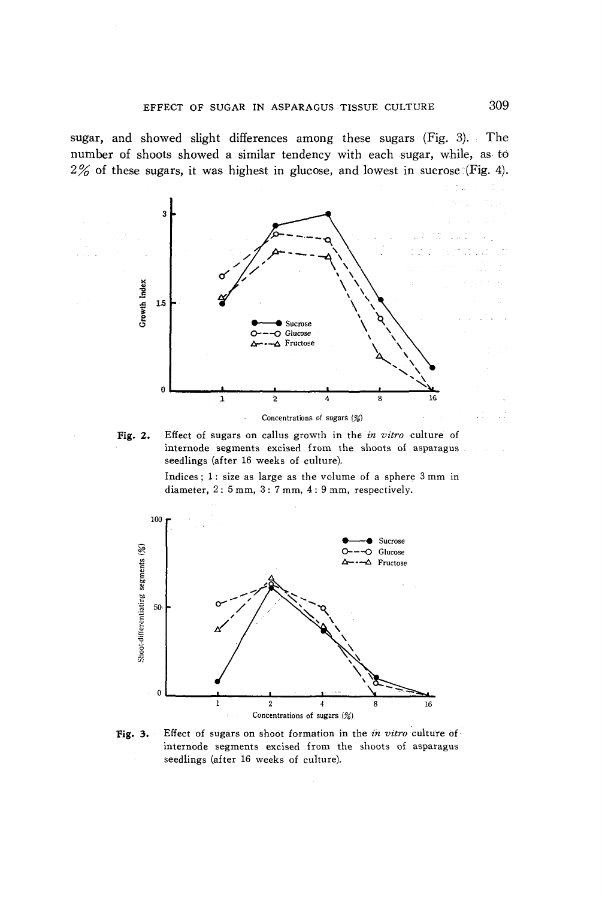sugar, and showed slight differences among these sugars (Fig. 3). The number of shoots showed a similar tendency with each sugar, while, as to  $2\%$  of these sugars, it was highest in glucose, and lowest in sucrose (Fig. 4).





Indices; 1: size as large as the volume of a sphere 3 mm in diameter, 2: 5 mm, 3: 7 mm, 4: 9 mm, respectively.



Fig. 3. Effect of sugars on shoot formation in the *in vitro* culture of internode segments excised from the shoots of asparagus seedlings (after 16 weeks of culture).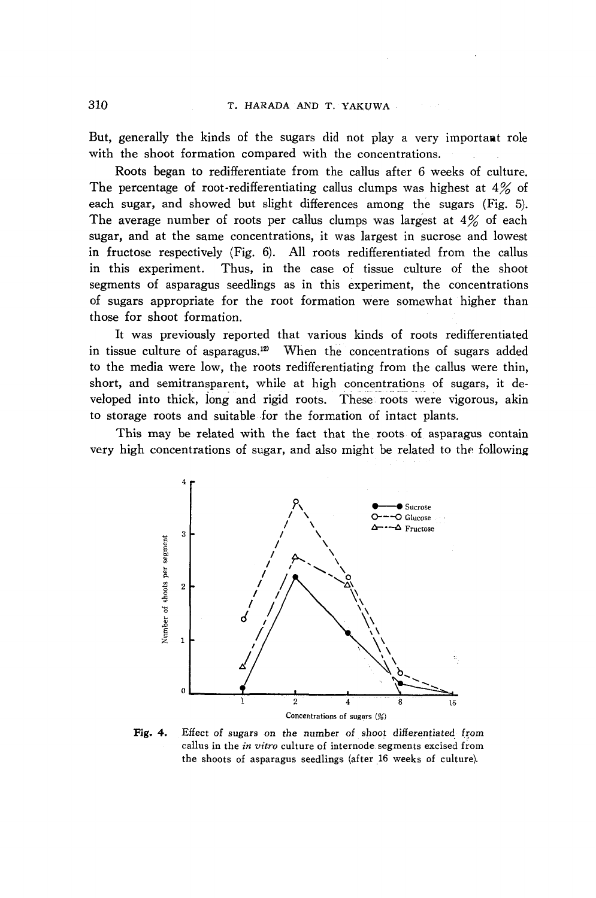But, generally the kinds of the sugars did not play a very importaat role with the shoot formation compared with the concentrations.

Roots began to redifferentiate from the callus after 6 weeks of culture. The percentage of root-redifferentiating callus clumps was highest at  $4\%$  of each sugar, and showed but slight differences among the sugars (Fig. 5). The average number of roots per callus clumps was largest at  $4\%$  of each sugar, and at the same concentrations, it was largest in sucrose and lowest in fructose respectively (Fig. 6). All roots redifferentiated from the callus in this experiment. Thus, in the case of tissue culture of the shoot segments of asparagus seedlings as in this experiment, the concentrations of sugars appropriate for the root formation were somewhat higher than those for shoot formation.

It was previously reported that various kinds of roots redifferentiated in tissue culture of asparagus.<sup>12)</sup> When the concentrations of sugars added to the media were low, the roots redifferentiating from the callus were thin, short, and semitransparent, while at high concentrations of sugars, it developed into thick, long and rigid roots. These roots were vigorous, akin to storage roots and suitable for the formation of intact plants.

This may be related with the fact that the roots of asparagus contain very high concentrations of sugar, and also might be related to the following



Fig. 4. Effect of sugars on the number of shoot differentiated from callus in the *in vitro* culture of internode. segments excised from the shoots of asparagus seedlings (after 16 weeks of culture).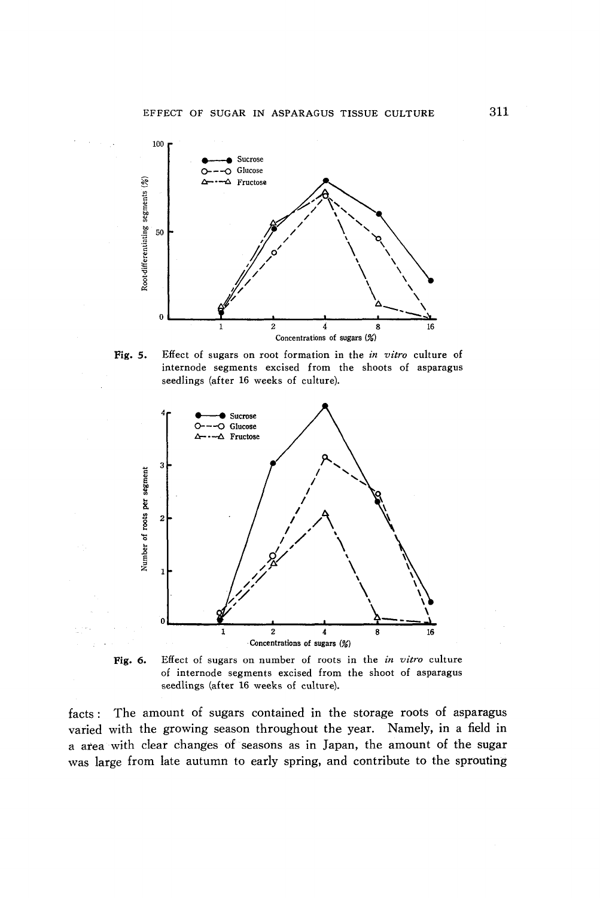

Fig. 5. Effect of sugars on root formation in the *in vitro* culture of internode segments excised from the shoots of asparagus seedlings (after 16 weeks of culture).



Fig. 6. Effect of sugars on number of roots in the *in vitro* culture of internode segments excised from the shoot of asparagus seedlings (after 16 weeks of culture).

facts: The amount of sugars contained in the storage roots of asparagus varied with the growing season throughout the year. Namely, in a field in a area with clear changes of seasons as in Japan, the amount of the sugar was large from late autumn to early spring, and contribute to the sprouting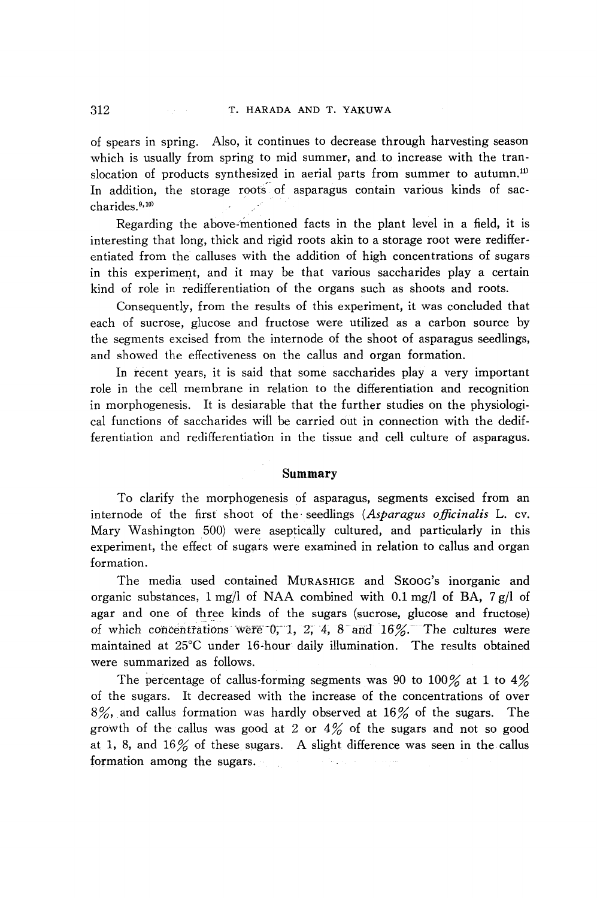of spears in spring. Also, it continues to decrease through harvesting season which is usually from spring to mid summer, and to increase with the translocation of products synthesized in aerial parts from summer to autumn.<sup>11</sup> In addition, the storage roots of asparagus contain various kinds of saccharides. 9,10)

Regarding the above-mentioned facts in the plant level in a field, it is interesting that long, thick and rigid roots akin to a storage root were redifferentiated from the calluses with the addition of high concentrations of sugars in this experiment, and it may be that various saccharides play a certain kind of role in redifferentiation of the organs such as shoots and roots.

Consequently, from the results of this experiment, it was concluded that each of sucrose, glucose and fructose were utilized as a carbon source by the segments excised from the internode of the shoot of asparagus seedlings, and showed the effectiveness on the callus and organ formation.

In recent years, it is said that some saccharides play a very important role in the cell membrane in relation to the differentiation and recognition in morphogenesis. It is desiarable that the further studies on the physiological functions of saccharides wil1 be carried out in connection with the dedifferentiation and redifferentiation in the tissue and cell culture of asparagus.

# **Summary**

To clarify the morphogenesis of asparagus, segments excised from an internode of the first shoot of the· seedlings *(Asparagus officinalis* L. cv. Mary Washington 500) were aseptically cultured, and particularly in this experiment, the effect of sugars were examined in relation to callus and organ formation.

The media used contained MURASHIGE and SKOOG'S inorganic and organic substances, 1 mg/l of NAA combined with 0.1 *mgll* of BA, 7 *gil* of agar and one of three kinds of the sugars (sucrose, glucose and fructose) of which concentrations were 0, 1, 2, 4, 8 and 16%. The cultures were maintained at 25°C under 16"hour daily illumination. The results obtained were summarized as follows.

The percentage of callus-forming segments was 90 to 100% at 1 to  $4\%$ of the sugars. It decreased with the increase of the concentrations of over  $8\%$ , and callus formation was hardly observed at  $16\%$  of the sugars. The growth of the callus was good at 2 or  $4\%$  of the sugars and not so good at 1, 8, and  $16\%$  of these sugars. A slight difference was seen in the callus formation among the sugars. in No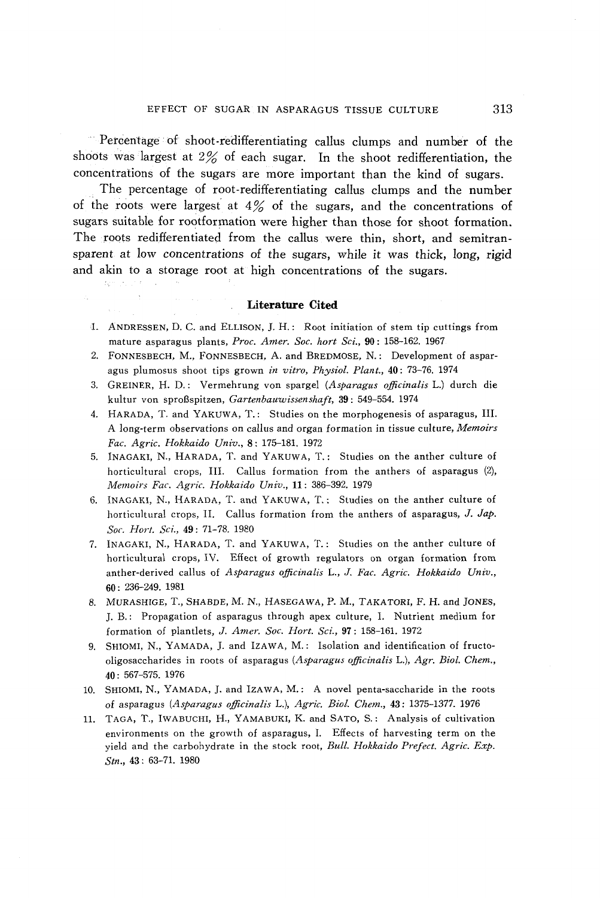Percentage of shoot-redifferentiating callus clumps and number of the shoots was largest at  $2\%$  of each sugar. In the shoot redifferentiation, the concentrations of the sugars are more important than the kind of sugars .

. The percentage of root-redifferentiating callus clumps and the number of the roots were largest at  $4\%$  of the sugars, and the concentrations of sugars suitable for rootformation were higher than those for shoot formation. The roots redifferentiated from the callus were thin, short, and semitransparent at low concentrations of the sugars, while it was thick, long, rigid and akin to a storage root at high concentrations of the sugars.

## **Literature Cited**

- 1. ANDRESSEN, D. C. and ELLISON, J. H.: Root initiation of stem tip cuttings from mature asparagus plants, *Proc. Amer. Soc. hart Sci.,* 90: 158-162. 1967
- 2. FONNESBECH, M., FONNESBECH, A. and BREDMOSE, N.: Development of asparagus plumosus shoot tips grown *in vitro, Physiol. Plant.,* 40: 73-76. 1974
- 3. GREINER, H. D.: Vermehrung von spargel *(Asparagus officinaiis* L.) durch die kultur von sproBspitzen, *Gartenbauwissenshajt,* 39: 549-554. 1974
- 4. HARADA, T. and YAKUW A, T.: Studies on the morphogenesis of asparagus, III. A long-term observations on callus and organ formation in tissue culture, *Memoirs Fac. Agric. Hokkaido Univ.,* 8: 175-181. 1972
- 5. INAGAKI, N., HARADA, T. and YAKUWA, T.: Studies on the anther culture of horticultural crops, III. Callus formation from the anthers of asparagus (2), *Memoirs Fac. Agric. Hokkaido Univ.,* 11: 386-392. 1979
- 6. INAGAKI, N., HARADA, T. and Y AKUW A, T.: Studies on the anther culture of horticultural crops, II. Callus formation from the anthers of asparagus, J. Jap. *Soc. Hort. Sci.,* 49: 71-78. 1980
- 7. INAGAKI, N., HARADA, T. and YAKUW A, T.: Studies on the anther culture of horticultural crops, IV. Effect of growth regulators on organ formation from anther-derived callus of *Asparagus officinalis* L., *J. Fac. Agric. Hokkaido Univ.,*  60: 236-249. 1981
- 8. MURASHIGE, T., SHABDE, M. N., HASEGAWA, P. M., TAKATORI, F. H. and JONES, J. B.: Propagation of asparagus through apex culture, I. Nutrient medium for formation of plantlets, J. *Amer. Soc. Hort. Sci.,* 97: 158-161. 1972
- 9. SHIOMI, N., YAMADA, J. and IZAWA, M.: Isolation and identification of fructooligosaccharides in roots of asparagus *(Asparagus officinaiis* L.), *Agr. Bioi. Chem.,*  40: 567-575. 1976
- 10. SHIOMI, N., YAMADA, J. and IZAWA, M.: A novel penta-saccharide in the roots of asparagus *(Asparagus officinalis* L.), *Agric. Bioi. Chern.,* 43: 1375-1377. 1976
- 11. TAGA, T., IWABUCHI, H., YAMABUKI, K. and SATO, S.: Analysis of cultivation environments on the growth of asparagus, 1. Effects of harvesting term on the yield and the carbohydrate in the stock root, *Bull. Hokkaido Prefect. Agric. Exp. Stn.,* 43: 63-71. 1980